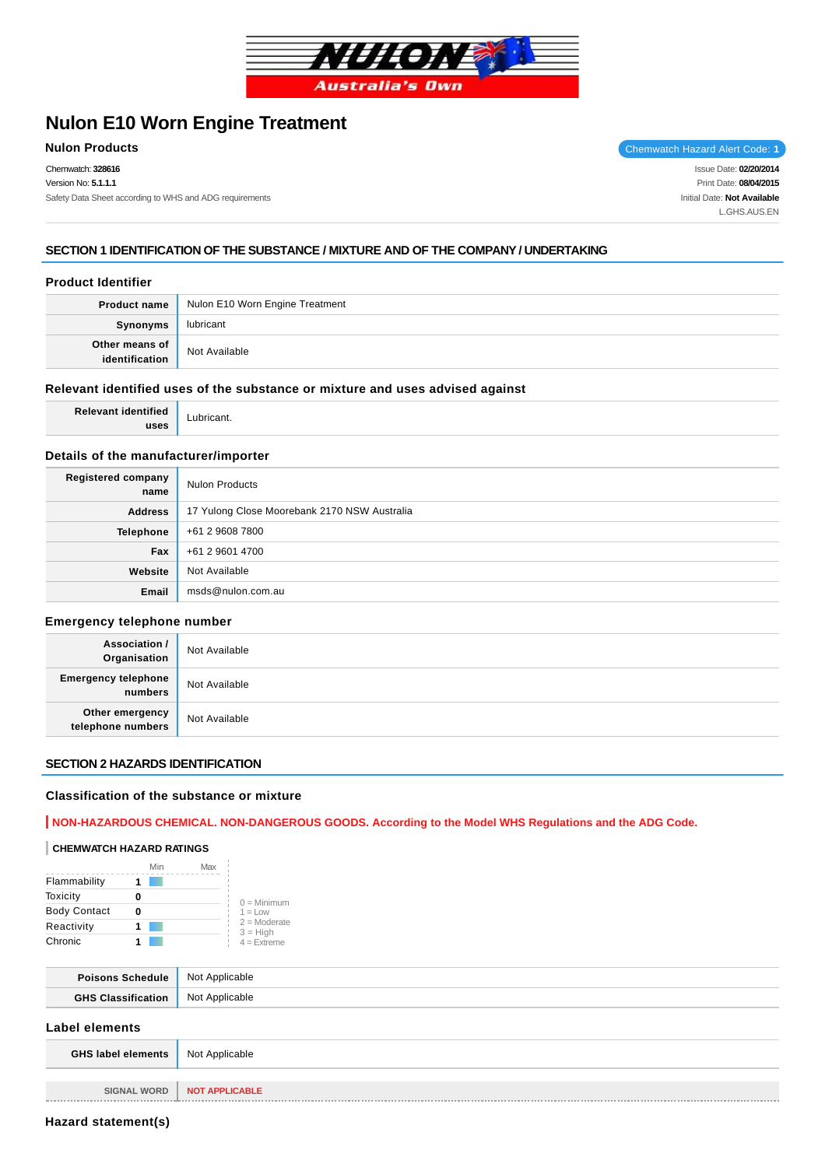

# **Nulon E10 Worn Engine Treatment**

Chemwatch: **328616** Version No: **5.1.1.1** Safety Data Sheet according to WHS and ADG requirements

**Nulon Products** Chemwatch Hazard Alert Code: 1

Issue Date: **02/20/2014** Print Date: **08/04/2015** Initial Date: **Not Available** L.GHS.AUS.EN

# **SECTION 1 IDENTIFICATION OF THE SUBSTANCE / MIXTURE AND OF THE COMPANY / UNDERTAKING**

# **Product Identifier**

| Product name   | Nulon E10 Worn Engine Treatment |
|----------------|---------------------------------|
| Synonyms       | lubricant                       |
| Other means of | Not Available                   |

## **Relevant identified uses of the substance or mixture and uses advised against**

**Relevant identified uses**

Lubricant.

# **Details of the manufacturer/importer**

| Registered company<br>name | <b>Nulon Products</b>                        |
|----------------------------|----------------------------------------------|
| <b>Address</b>             | 17 Yulong Close Moorebank 2170 NSW Australia |
| <b>Telephone</b>           | +61 2 9608 7800                              |
| Fax                        | +61 2 9601 4700                              |
| Website                    | Not Available                                |
| Email                      | msds@nulon.com.au                            |

## **Emergency telephone number**

| <b>Association /</b><br>Organisation  | Not Available |
|---------------------------------------|---------------|
| <b>Emergency telephone</b><br>numbers | Not Available |
| Other emergency<br>telephone numbers  | Not Available |

# **SECTION 2 HAZARDS IDENTIFICATION**

## **Classification of the substance or mixture**

# **NON-HAZARDOUS CHEMICAL. NON-DANGEROUS GOODS. According to the Model WHS Regulations and the ADG Code.**

#### **CHEMWATCH HAZARD RATINGS**

|                     | Min | Max |                              |
|---------------------|-----|-----|------------------------------|
| Flammability        |     |     |                              |
| Toxicity            |     |     | $0 =$ Minimum                |
| <b>Body Contact</b> |     |     | $1 = Low$                    |
| Reactivity          |     |     | $2 =$ Moderate<br>$3 = High$ |
| Chronic             |     |     | $4 =$ Extreme                |

| chedule. | Not Applicable               |
|----------|------------------------------|
|          | <b>Not</b><br>→ Annlicable → |

# **Label elements**

| <b>GHS label elements</b> Not Applicable |                       |
|------------------------------------------|-----------------------|
|                                          |                       |
| <b>SIGNAL WORD</b>                       | <b>NOT APPLICABLE</b> |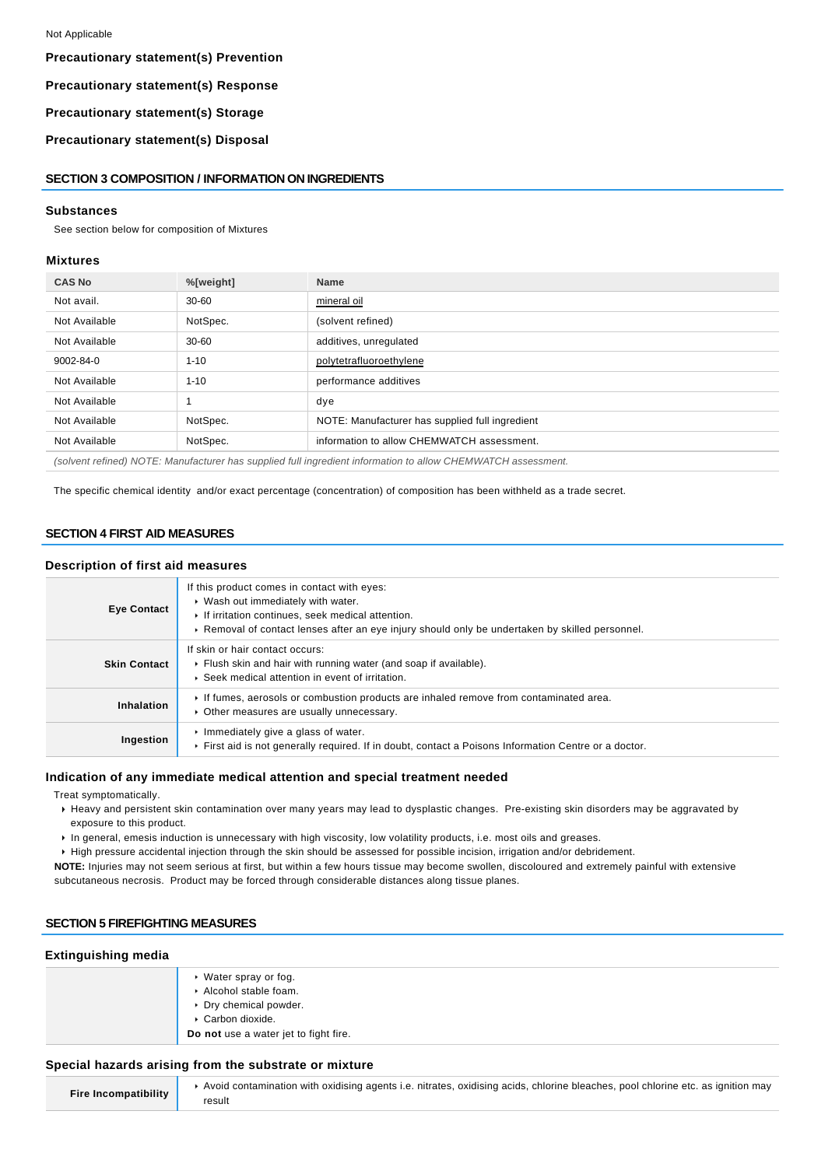**Precautionary statement(s) Prevention**

**Precautionary statement(s) Response**

**Precautionary statement(s) Storage**

**Precautionary statement(s) Disposal**

### **SECTION 3 COMPOSITION / INFORMATION ON INGREDIENTS**

#### **Substances**

See section below for composition of Mixtures

#### **Mixtures**

| <b>CAS No</b>                                                                                                | %[weight] | <b>Name</b>                                     |
|--------------------------------------------------------------------------------------------------------------|-----------|-------------------------------------------------|
| Not avail.                                                                                                   | $30 - 60$ | mineral oil                                     |
| Not Available                                                                                                | NotSpec.  | (solvent refined)                               |
| Not Available                                                                                                | $30 - 60$ | additives, unregulated                          |
| 9002-84-0                                                                                                    | $1 - 10$  | polytetrafluoroethylene                         |
| Not Available                                                                                                | $1 - 10$  | performance additives                           |
| Not Available                                                                                                |           | dye                                             |
| Not Available                                                                                                | NotSpec.  | NOTE: Manufacturer has supplied full ingredient |
| Not Available                                                                                                | NotSpec.  | information to allow CHEMWATCH assessment.      |
| (solvent refined) NOTE: Manufacturer has supplied full ingredient information to allow CHEMWATCH assessment. |           |                                                 |

The specific chemical identity and/or exact percentage (concentration) of composition has been withheld as a trade secret.

# **SECTION 4 FIRST AID MEASURES**

#### **Description of first aid measures**

| <b>Eye Contact</b>  | If this product comes in contact with eyes:<br>▶ Wash out immediately with water.<br>If irritation continues, seek medical attention.<br>► Removal of contact lenses after an eye injury should only be undertaken by skilled personnel. |
|---------------------|------------------------------------------------------------------------------------------------------------------------------------------------------------------------------------------------------------------------------------------|
| <b>Skin Contact</b> | If skin or hair contact occurs:<br>Flush skin and hair with running water (and soap if available).<br>▶ Seek medical attention in event of irritation.                                                                                   |
| Inhalation          | If fumes, aerosols or combustion products are inhaled remove from contaminated area.<br>• Other measures are usually unnecessary.                                                                                                        |
| Ingestion           | $\cdot$ Immediately give a glass of water.<br>First aid is not generally required. If in doubt, contact a Poisons Information Centre or a doctor.                                                                                        |

#### **Indication of any immediate medical attention and special treatment needed**

Treat symptomatically.

- Heavy and persistent skin contamination over many years may lead to dysplastic changes. Pre-existing skin disorders may be aggravated by exposure to this product.
- In general, emesis induction is unnecessary with high viscosity, low volatility products, i.e. most oils and greases.
- High pressure accidental injection through the skin should be assessed for possible incision, irrigation and/or debridement.
- **NOTE:** Injuries may not seem serious at first, but within a few hours tissue may become swollen, discoloured and extremely painful with extensive subcutaneous necrosis. Product may be forced through considerable distances along tissue planes.

#### **SECTION 5 FIREFIGHTING MEASURES**

#### **Extinguishing media**

| ▸ Water spray or fog.<br>Alcohol stable foam.<br>▶ Dry chemical powder.<br>Carbon dioxide. |
|--------------------------------------------------------------------------------------------|
| Do not use a water jet to fight fire.                                                      |

#### **Special hazards arising from the substrate or mixture**

| Fire Incompatibility | ▶ Avoid contamination with oxidising agents i.e. nitrates, oxidising acids, chlorine bleaches, pool chlorine etc. as ignition may |
|----------------------|-----------------------------------------------------------------------------------------------------------------------------------|
|                      | result                                                                                                                            |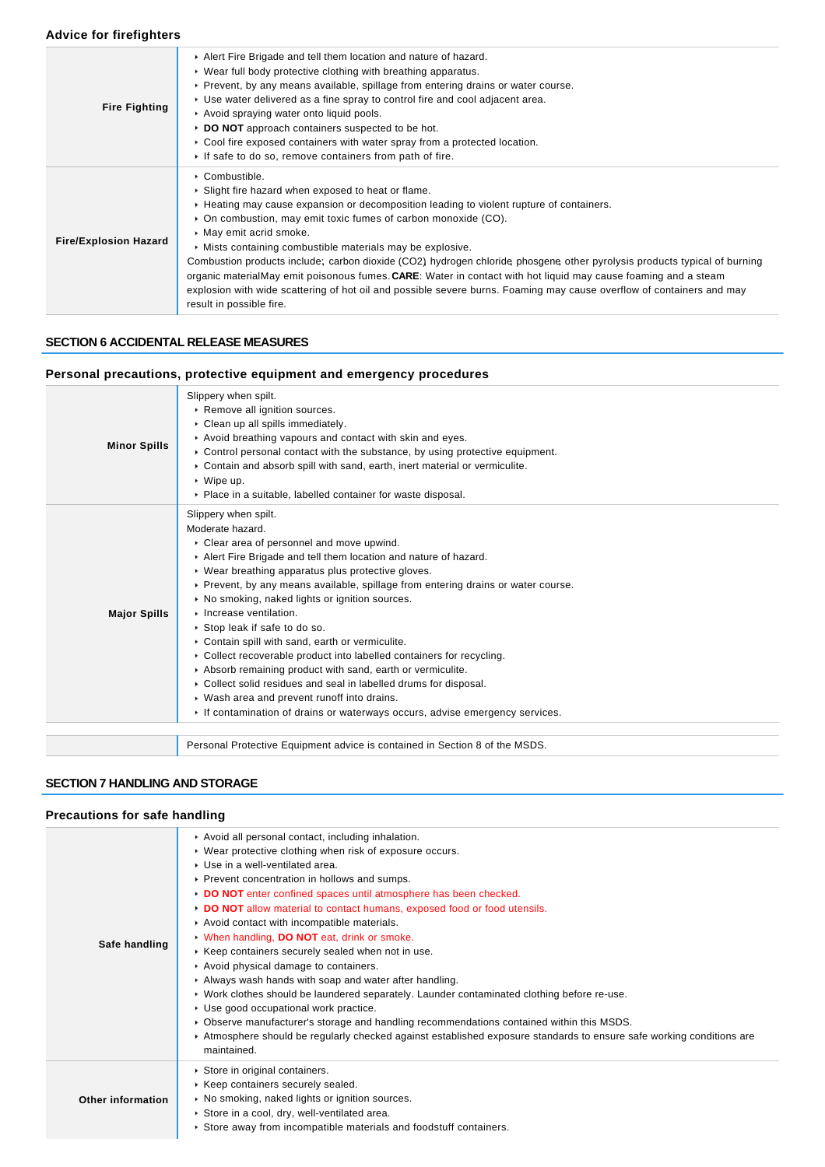# **Advice for firefighters**

| <b>Fire Fighting</b>         | Alert Fire Brigade and tell them location and nature of hazard.<br>▶ Wear full body protective clothing with breathing apparatus.<br>▶ Prevent, by any means available, spillage from entering drains or water course.<br>► Use water delivered as a fine spray to control fire and cool adjacent area.<br>Avoid spraying water onto liquid pools.<br>DO NOT approach containers suspected to be hot.<br>$\triangleright$ Cool fire exposed containers with water spray from a protected location.<br>If safe to do so, remove containers from path of fire.                                                                                                                                                                    |
|------------------------------|---------------------------------------------------------------------------------------------------------------------------------------------------------------------------------------------------------------------------------------------------------------------------------------------------------------------------------------------------------------------------------------------------------------------------------------------------------------------------------------------------------------------------------------------------------------------------------------------------------------------------------------------------------------------------------------------------------------------------------|
| <b>Fire/Explosion Hazard</b> | • Combustible.<br>• Slight fire hazard when exposed to heat or flame.<br>► Heating may cause expansion or decomposition leading to violent rupture of containers.<br>• On combustion, may emit toxic fumes of carbon monoxide (CO).<br>• May emit acrid smoke.<br>• Mists containing combustible materials may be explosive.<br>Combustion products include; carbon dioxide (CO2) hydrogen chloride phosgene other pyrolysis products typical of burning<br>organic materialMay emit poisonous fumes. CARE: Water in contact with hot liquid may cause foaming and a steam<br>explosion with wide scattering of hot oil and possible severe burns. Foaming may cause overflow of containers and may<br>result in possible fire. |

# **SECTION 6 ACCIDENTAL RELEASE MEASURES**

# **Personal precautions, protective equipment and emergency procedures**

| <b>Minor Spills</b> | Slippery when spilt.<br>Remove all ignition sources.<br>Clean up all spills immediately.<br>Avoid breathing vapours and contact with skin and eyes.<br>$\triangleright$ Control personal contact with the substance, by using protective equipment.<br>Contain and absorb spill with sand, earth, inert material or vermiculite.<br>$\triangleright$ Wipe up.<br>• Place in a suitable, labelled container for waste disposal.                                                                                                                                                                                                                                                                                                                                                                            |
|---------------------|-----------------------------------------------------------------------------------------------------------------------------------------------------------------------------------------------------------------------------------------------------------------------------------------------------------------------------------------------------------------------------------------------------------------------------------------------------------------------------------------------------------------------------------------------------------------------------------------------------------------------------------------------------------------------------------------------------------------------------------------------------------------------------------------------------------|
| <b>Major Spills</b> | Slippery when spilt.<br>Moderate hazard.<br>• Clear area of personnel and move upwind.<br>Alert Fire Brigade and tell them location and nature of hazard.<br>• Wear breathing apparatus plus protective gloves.<br>▶ Prevent, by any means available, spillage from entering drains or water course.<br>• No smoking, naked lights or ignition sources.<br>Increase ventilation.<br>Stop leak if safe to do so.<br>Contain spill with sand, earth or vermiculite.<br>• Collect recoverable product into labelled containers for recycling.<br>Absorb remaining product with sand, earth or vermiculite.<br>• Collect solid residues and seal in labelled drums for disposal.<br>• Wash area and prevent runoff into drains.<br>If contamination of drains or waterways occurs, advise emergency services. |
|                     | Personal Protective Equipment advice is contained in Section 8 of the MSDS.                                                                                                                                                                                                                                                                                                                                                                                                                                                                                                                                                                                                                                                                                                                               |

# **SECTION 7 HANDLING AND STORAGE**

# **Precautions for safe handling**

|                   | Avoid all personal contact, including inhalation.                                                                                    |
|-------------------|--------------------------------------------------------------------------------------------------------------------------------------|
|                   | ▶ Wear protective clothing when risk of exposure occurs.                                                                             |
|                   | ▶ Use in a well-ventilated area.                                                                                                     |
|                   | ▶ Prevent concentration in hollows and sumps.                                                                                        |
|                   | DO NOT enter confined spaces until atmosphere has been checked.                                                                      |
|                   | DO NOT allow material to contact humans, exposed food or food utensils.                                                              |
|                   | Avoid contact with incompatible materials.                                                                                           |
|                   | V When handling, DO NOT eat, drink or smoke.                                                                                         |
| Safe handling     | Keep containers securely sealed when not in use.                                                                                     |
|                   | Avoid physical damage to containers.                                                                                                 |
|                   | Always wash hands with soap and water after handling.                                                                                |
|                   | ► Work clothes should be laundered separately. Launder contaminated clothing before re-use.                                          |
|                   | ▶ Use good occupational work practice.                                                                                               |
|                   | • Observe manufacturer's storage and handling recommendations contained within this MSDS.                                            |
|                   | ▶ Atmosphere should be regularly checked against established exposure standards to ensure safe working conditions are<br>maintained. |
|                   | Store in original containers.                                                                                                        |
|                   | ▶ Keep containers securely sealed.                                                                                                   |
| Other information | ▶ No smoking, naked lights or ignition sources.                                                                                      |
|                   | Store in a cool, dry, well-ventilated area.                                                                                          |
|                   | Store away from incompatible materials and foodstuff containers.                                                                     |
|                   |                                                                                                                                      |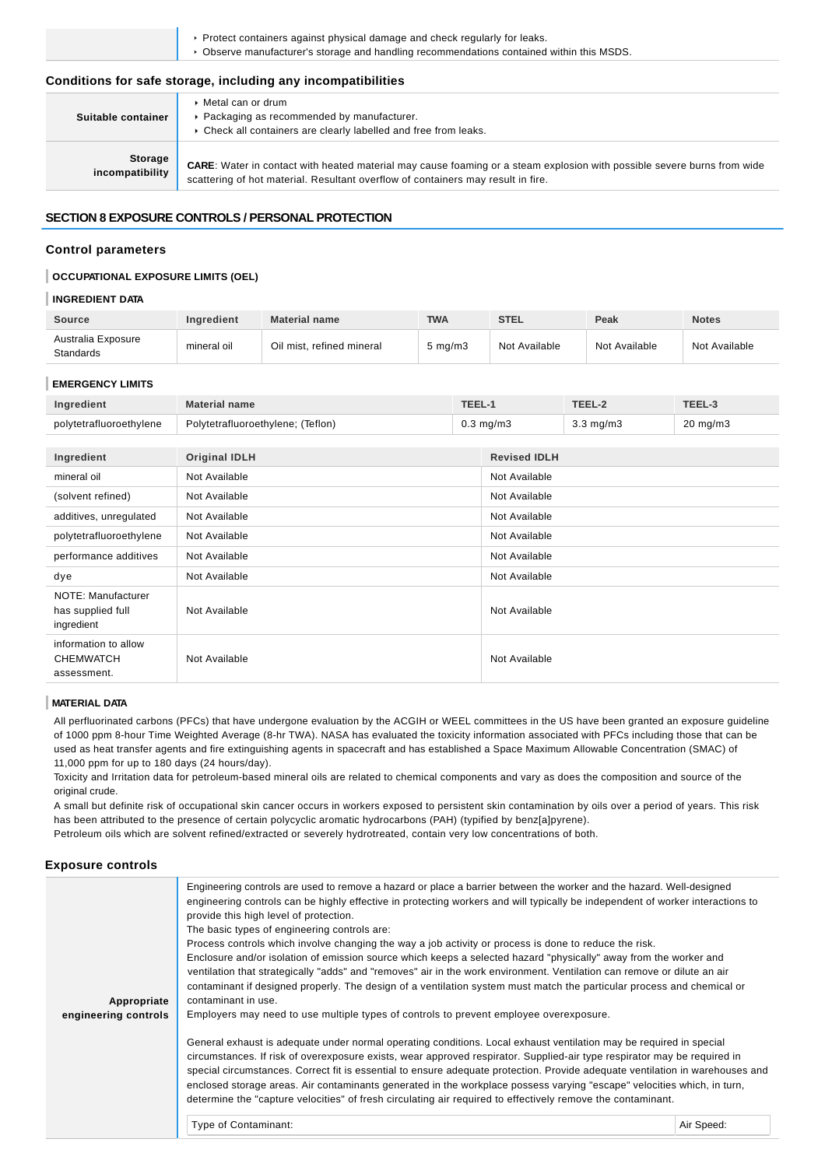Protect containers against physical damage and check regularly for leaks.

Observe manufacturer's storage and handling recommendations contained within this MSDS.

### **Conditions for safe storage, including any incompatibilities**

| Suitable container         | $\triangleright$ Metal can or drum<br>▶ Packaging as recommended by manufacturer.<br>• Check all containers are clearly labelled and free from leaks.                                                       |
|----------------------------|-------------------------------------------------------------------------------------------------------------------------------------------------------------------------------------------------------------|
| Storage<br>incompatibility | CARE: Water in contact with heated material may cause foaming or a steam explosion with possible severe burns from wide<br>scattering of hot material. Resultant overflow of containers may result in fire. |

#### **SECTION 8 EXPOSURE CONTROLS / PERSONAL PROTECTION**

# **Control parameters**

### **OCCUPATIONAL EXPOSURE LIMITS (OEL)**

#### **INGREDIENT DATA**

| <b>Source</b>                   | <b>Ingredient</b> | <b>Material name</b>      | <b>TWA</b>         | <b>STEL</b>   | Peak          | <b>Notes</b>  |
|---------------------------------|-------------------|---------------------------|--------------------|---------------|---------------|---------------|
| Australia Exposure<br>Standards | mineral oil       | Oil mist, refined mineral | $5 \text{ ma/m}$ 3 | Not Available | Not Available | Not Available |

#### **EMERGENCY LIMITS**

| Ingredient              | Material name                     | TEEL.     |                    | TEEL-J              |
|-------------------------|-----------------------------------|-----------|--------------------|---------------------|
| polytetrafluoroethylene | Polytetrafluoroethylene; (Teflon) | 0.3 mg/m3 | $3.3 \text{ ma/m}$ | $20 \text{ mg/m}$ 3 |

| Ingredient                                              | <b>Original IDLH</b> | <b>Revised IDLH</b> |
|---------------------------------------------------------|----------------------|---------------------|
| mineral oil                                             | Not Available        | Not Available       |
| (solvent refined)                                       | Not Available        | Not Available       |
| additives, unregulated                                  | Not Available        | Not Available       |
| polytetrafluoroethylene                                 | Not Available        | Not Available       |
| performance additives                                   | Not Available        | Not Available       |
| dye                                                     | Not Available        | Not Available       |
| NOTE: Manufacturer<br>has supplied full<br>ingredient   | Not Available        | Not Available       |
| information to allow<br><b>CHEMWATCH</b><br>assessment. | Not Available        | Not Available       |

#### **MATERIAL DATA**

All perfluorinated carbons (PFCs) that have undergone evaluation by the ACGIH or WEEL committees in the US have been granted an exposure guideline of 1000 ppm 8-hour Time Weighted Average (8-hr TWA). NASA has evaluated the toxicity information associated with PFCs including those that can be used as heat transfer agents and fire extinguishing agents in spacecraft and has established a Space Maximum Allowable Concentration (SMAC) of 11,000 ppm for up to 180 days (24 hours/day).

Toxicity and Irritation data for petroleum-based mineral oils are related to chemical components and vary as does the composition and source of the original crude.

A small but definite risk of occupational skin cancer occurs in workers exposed to persistent skin contamination by oils over a period of years. This risk has been attributed to the presence of certain polycyclic aromatic hydrocarbons (PAH) (typified by benz[a]pyrene). Petroleum oils which are solvent refined/extracted or severely hydrotreated, contain very low concentrations of both.

#### **Exposure controls**

| Appropriate<br>engineering controls | Engineering controls are used to remove a hazard or place a barrier between the worker and the hazard. Well-designed<br>provide this high level of protection.<br>The basic types of engineering controls are:<br>Process controls which involve changing the way a job activity or process is done to reduce the risk.<br>contaminant in use.<br>Employers may need to use multiple types of controls to prevent employee overexposure.                                                                                                                                                                                                           | engineering controls can be highly effective in protecting workers and will typically be independent of worker interactions to<br>Enclosure and/or isolation of emission source which keeps a selected hazard "physically" away from the worker and<br>ventilation that strategically "adds" and "removes" air in the work environment. Ventilation can remove or dilute an air<br>contaminant if designed properly. The design of a ventilation system must match the particular process and chemical or |  |  |
|-------------------------------------|----------------------------------------------------------------------------------------------------------------------------------------------------------------------------------------------------------------------------------------------------------------------------------------------------------------------------------------------------------------------------------------------------------------------------------------------------------------------------------------------------------------------------------------------------------------------------------------------------------------------------------------------------|-----------------------------------------------------------------------------------------------------------------------------------------------------------------------------------------------------------------------------------------------------------------------------------------------------------------------------------------------------------------------------------------------------------------------------------------------------------------------------------------------------------|--|--|
|                                     | General exhaust is adequate under normal operating conditions. Local exhaust ventilation may be required in special<br>circumstances. If risk of overexposure exists, wear approved respirator. Supplied-air type respirator may be required in<br>special circumstances. Correct fit is essential to ensure adequate protection. Provide adequate ventilation in warehouses and<br>enclosed storage areas. Air contaminants generated in the workplace possess varying "escape" velocities which, in turn,<br>determine the "capture velocities" of fresh circulating air required to effectively remove the contaminant.<br>Type of Contaminant: | Air Speed:                                                                                                                                                                                                                                                                                                                                                                                                                                                                                                |  |  |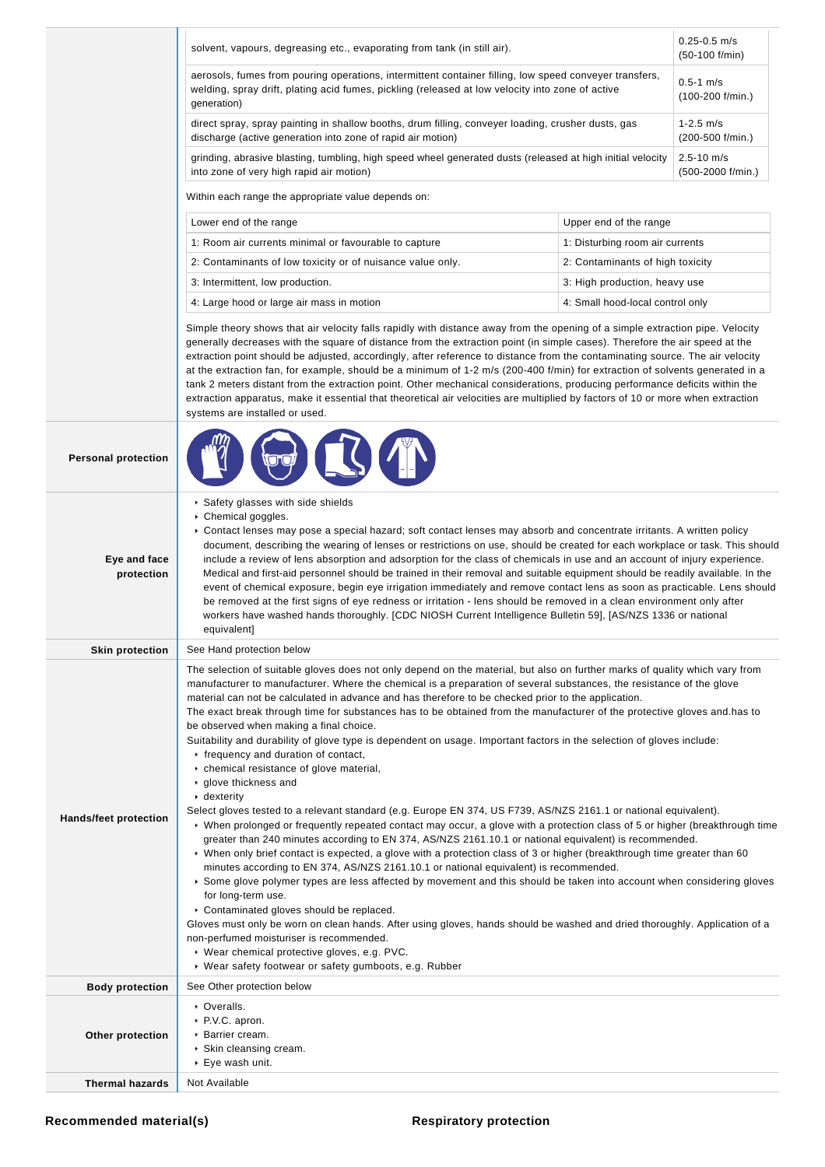|                              | solvent, vapours, degreasing etc., evaporating from tank (in still air).                                                                                                                                                                                                                                                                                                                                                                                                                                                                                                                                                                                                                                                                                                                                                                                                                                                                                                                                                                                                                                                                                                                                                                                                                                                                                                                                                                                                                                                                                                                                                                                                                                                                                                                                                                                               |                                  | $0.25 - 0.5$ m/s<br>$(50-100)$ f/min) |
|------------------------------|------------------------------------------------------------------------------------------------------------------------------------------------------------------------------------------------------------------------------------------------------------------------------------------------------------------------------------------------------------------------------------------------------------------------------------------------------------------------------------------------------------------------------------------------------------------------------------------------------------------------------------------------------------------------------------------------------------------------------------------------------------------------------------------------------------------------------------------------------------------------------------------------------------------------------------------------------------------------------------------------------------------------------------------------------------------------------------------------------------------------------------------------------------------------------------------------------------------------------------------------------------------------------------------------------------------------------------------------------------------------------------------------------------------------------------------------------------------------------------------------------------------------------------------------------------------------------------------------------------------------------------------------------------------------------------------------------------------------------------------------------------------------------------------------------------------------------------------------------------------------|----------------------------------|---------------------------------------|
|                              | aerosols, fumes from pouring operations, intermittent container filling, low speed conveyer transfers,<br>welding, spray drift, plating acid fumes, pickling (released at low velocity into zone of active<br>generation)                                                                                                                                                                                                                                                                                                                                                                                                                                                                                                                                                                                                                                                                                                                                                                                                                                                                                                                                                                                                                                                                                                                                                                                                                                                                                                                                                                                                                                                                                                                                                                                                                                              |                                  | $0.5 - 1$ m/s<br>$(100-200$ f/min.)   |
|                              | direct spray, spray painting in shallow booths, drum filling, conveyer loading, crusher dusts, gas<br>discharge (active generation into zone of rapid air motion)                                                                                                                                                                                                                                                                                                                                                                                                                                                                                                                                                                                                                                                                                                                                                                                                                                                                                                                                                                                                                                                                                                                                                                                                                                                                                                                                                                                                                                                                                                                                                                                                                                                                                                      |                                  | $1 - 2.5$ m/s<br>(200-500 f/min.)     |
|                              | grinding, abrasive blasting, tumbling, high speed wheel generated dusts (released at high initial velocity<br>into zone of very high rapid air motion)                                                                                                                                                                                                                                                                                                                                                                                                                                                                                                                                                                                                                                                                                                                                                                                                                                                                                                                                                                                                                                                                                                                                                                                                                                                                                                                                                                                                                                                                                                                                                                                                                                                                                                                 |                                  | $2.5 - 10$ m/s<br>(500-2000 f/min.)   |
|                              | Within each range the appropriate value depends on:                                                                                                                                                                                                                                                                                                                                                                                                                                                                                                                                                                                                                                                                                                                                                                                                                                                                                                                                                                                                                                                                                                                                                                                                                                                                                                                                                                                                                                                                                                                                                                                                                                                                                                                                                                                                                    |                                  |                                       |
|                              | Lower end of the range                                                                                                                                                                                                                                                                                                                                                                                                                                                                                                                                                                                                                                                                                                                                                                                                                                                                                                                                                                                                                                                                                                                                                                                                                                                                                                                                                                                                                                                                                                                                                                                                                                                                                                                                                                                                                                                 | Upper end of the range           |                                       |
|                              | 1: Room air currents minimal or favourable to capture                                                                                                                                                                                                                                                                                                                                                                                                                                                                                                                                                                                                                                                                                                                                                                                                                                                                                                                                                                                                                                                                                                                                                                                                                                                                                                                                                                                                                                                                                                                                                                                                                                                                                                                                                                                                                  | 1: Disturbing room air currents  |                                       |
|                              | 2: Contaminants of low toxicity or of nuisance value only.                                                                                                                                                                                                                                                                                                                                                                                                                                                                                                                                                                                                                                                                                                                                                                                                                                                                                                                                                                                                                                                                                                                                                                                                                                                                                                                                                                                                                                                                                                                                                                                                                                                                                                                                                                                                             | 2: Contaminants of high toxicity |                                       |
|                              | 3: Intermittent, low production.                                                                                                                                                                                                                                                                                                                                                                                                                                                                                                                                                                                                                                                                                                                                                                                                                                                                                                                                                                                                                                                                                                                                                                                                                                                                                                                                                                                                                                                                                                                                                                                                                                                                                                                                                                                                                                       | 3: High production, heavy use    |                                       |
|                              | 4: Large hood or large air mass in motion                                                                                                                                                                                                                                                                                                                                                                                                                                                                                                                                                                                                                                                                                                                                                                                                                                                                                                                                                                                                                                                                                                                                                                                                                                                                                                                                                                                                                                                                                                                                                                                                                                                                                                                                                                                                                              | 4: Small hood-local control only |                                       |
|                              | Simple theory shows that air velocity falls rapidly with distance away from the opening of a simple extraction pipe. Velocity<br>generally decreases with the square of distance from the extraction point (in simple cases). Therefore the air speed at the<br>extraction point should be adjusted, accordingly, after reference to distance from the contaminating source. The air velocity<br>at the extraction fan, for example, should be a minimum of 1-2 m/s (200-400 f/min) for extraction of solvents generated in a<br>tank 2 meters distant from the extraction point. Other mechanical considerations, producing performance deficits within the<br>extraction apparatus, make it essential that theoretical air velocities are multiplied by factors of 10 or more when extraction<br>systems are installed or used.                                                                                                                                                                                                                                                                                                                                                                                                                                                                                                                                                                                                                                                                                                                                                                                                                                                                                                                                                                                                                                      |                                  |                                       |
| <b>Personal protection</b>   |                                                                                                                                                                                                                                                                                                                                                                                                                                                                                                                                                                                                                                                                                                                                                                                                                                                                                                                                                                                                                                                                                                                                                                                                                                                                                                                                                                                                                                                                                                                                                                                                                                                                                                                                                                                                                                                                        |                                  |                                       |
| Eye and face<br>protection   | Safety glasses with side shields<br>▶ Chemical goggles.<br>► Contact lenses may pose a special hazard; soft contact lenses may absorb and concentrate irritants. A written policy<br>document, describing the wearing of lenses or restrictions on use, should be created for each workplace or task. This should<br>include a review of lens absorption and adsorption for the class of chemicals in use and an account of injury experience.<br>Medical and first-aid personnel should be trained in their removal and suitable equipment should be readily available. In the<br>event of chemical exposure, begin eye irrigation immediately and remove contact lens as soon as practicable. Lens should<br>be removed at the first signs of eye redness or irritation - lens should be removed in a clean environment only after<br>workers have washed hands thoroughly. [CDC NIOSH Current Intelligence Bulletin 59], [AS/NZS 1336 or national<br>equivalent]                                                                                                                                                                                                                                                                                                                                                                                                                                                                                                                                                                                                                                                                                                                                                                                                                                                                                                    |                                  |                                       |
| <b>Skin protection</b>       | See Hand protection below                                                                                                                                                                                                                                                                                                                                                                                                                                                                                                                                                                                                                                                                                                                                                                                                                                                                                                                                                                                                                                                                                                                                                                                                                                                                                                                                                                                                                                                                                                                                                                                                                                                                                                                                                                                                                                              |                                  |                                       |
| <b>Hands/feet protection</b> | The selection of suitable gloves does not only depend on the material, but also on further marks of quality which vary from<br>manufacturer to manufacturer. Where the chemical is a preparation of several substances, the resistance of the glove<br>material can not be calculated in advance and has therefore to be checked prior to the application.<br>The exact break through time for substances has to be obtained from the manufacturer of the protective gloves and has to<br>be observed when making a final choice.<br>Suitability and durability of glove type is dependent on usage. Important factors in the selection of gloves include:<br>Firequency and duration of contact,<br>• chemical resistance of glove material,<br>▶ glove thickness and<br>$\triangleright$ dexterity<br>Select gloves tested to a relevant standard (e.g. Europe EN 374, US F739, AS/NZS 2161.1 or national equivalent).<br>▶ When prolonged or frequently repeated contact may occur, a glove with a protection class of 5 or higher (breakthrough time<br>greater than 240 minutes according to EN 374, AS/NZS 2161.10.1 or national equivalent) is recommended.<br>► When only brief contact is expected, a glove with a protection class of 3 or higher (breakthrough time greater than 60<br>minutes according to EN 374, AS/NZS 2161.10.1 or national equivalent) is recommended.<br>▶ Some glove polymer types are less affected by movement and this should be taken into account when considering gloves<br>for long-term use.<br>Contaminated gloves should be replaced.<br>Gloves must only be worn on clean hands. After using gloves, hands should be washed and dried thoroughly. Application of a<br>non-perfumed moisturiser is recommended.<br>▶ Wear chemical protective gloves, e.g. PVC.<br>▶ Wear safety footwear or safety gumboots, e.g. Rubber |                                  |                                       |
| <b>Body protection</b>       | See Other protection below                                                                                                                                                                                                                                                                                                                                                                                                                                                                                                                                                                                                                                                                                                                                                                                                                                                                                                                                                                                                                                                                                                                                                                                                                                                                                                                                                                                                                                                                                                                                                                                                                                                                                                                                                                                                                                             |                                  |                                       |
| Other protection             | • Overalls.<br>▶ P.V.C. apron.<br>▶ Barrier cream.<br>▶ Skin cleansing cream.<br>▶ Eye wash unit.                                                                                                                                                                                                                                                                                                                                                                                                                                                                                                                                                                                                                                                                                                                                                                                                                                                                                                                                                                                                                                                                                                                                                                                                                                                                                                                                                                                                                                                                                                                                                                                                                                                                                                                                                                      |                                  |                                       |
| <b>Thermal hazards</b>       | Not Available                                                                                                                                                                                                                                                                                                                                                                                                                                                                                                                                                                                                                                                                                                                                                                                                                                                                                                                                                                                                                                                                                                                                                                                                                                                                                                                                                                                                                                                                                                                                                                                                                                                                                                                                                                                                                                                          |                                  |                                       |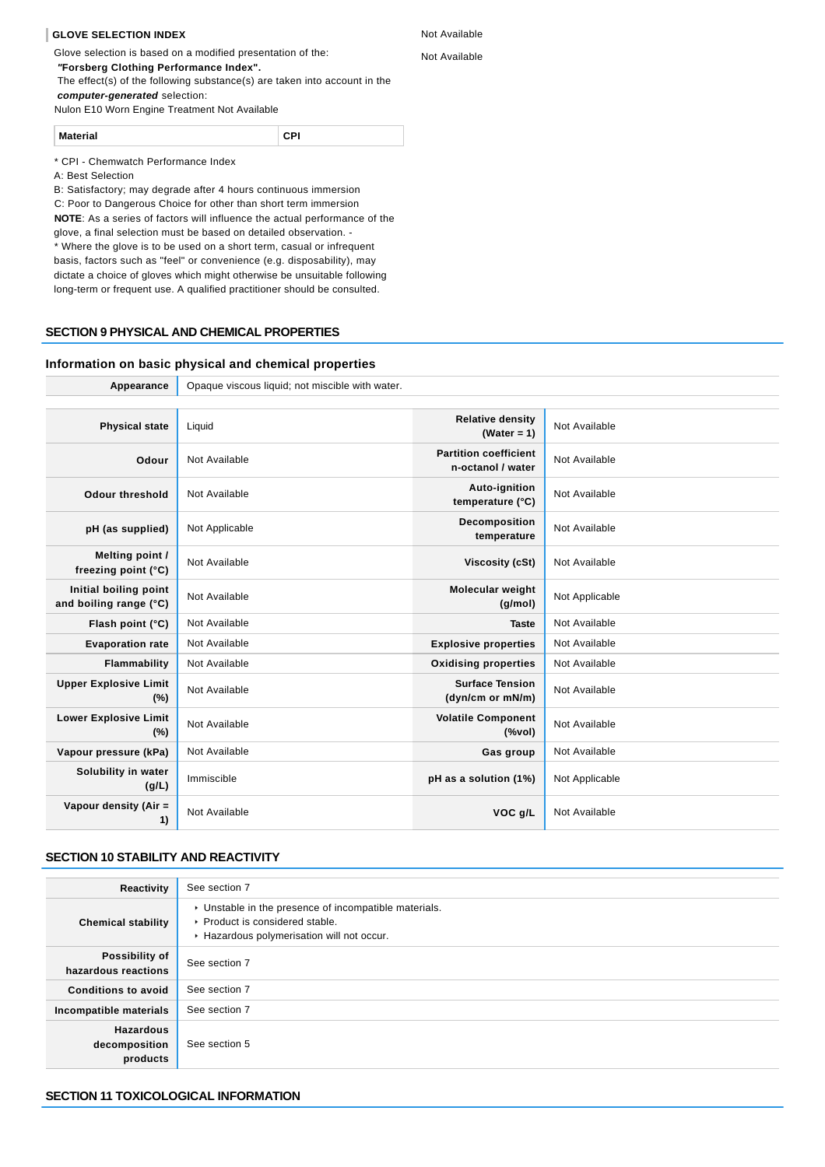#### **GLOVE SELECTION INDEX**

Glove selection is based on a modified presentation of the:

 **"Forsberg Clothing Performance Index".**

 The effect(s) of the following substance(s) are taken into account in the **computer-generated** selection:

Nulon E10 Worn Engine Treatment Not Available

**Material CPI**

\* CPI - Chemwatch Performance Index

A: Best Selection

B: Satisfactory; may degrade after 4 hours continuous immersion C: Poor to Dangerous Choice for other than short term immersion **NOTE**: As a series of factors will influence the actual performance of the glove, a final selection must be based on detailed observation. \* Where the glove is to be used on a short term, casual or infrequent basis, factors such as "feel" or convenience (e.g. disposability), may dictate a choice of gloves which might otherwise be unsuitable following

# **SECTION 9 PHYSICAL AND CHEMICAL PROPERTIES**

#### **Information on basic physical and chemical properties**

Appearance **Opaque viscous liquid**; not miscible with water.

| <b>Physical state</b>                           | Liquid         | <b>Relative density</b><br>(Water = $1$ )         | Not Available  |
|-------------------------------------------------|----------------|---------------------------------------------------|----------------|
| Odour                                           | Not Available  | <b>Partition coefficient</b><br>n-octanol / water | Not Available  |
| <b>Odour threshold</b>                          | Not Available  | Auto-ignition<br>temperature (°C)                 | Not Available  |
| pH (as supplied)                                | Not Applicable | Decomposition<br>temperature                      | Not Available  |
| Melting point /<br>freezing point (°C)          | Not Available  | <b>Viscosity (cSt)</b>                            | Not Available  |
| Initial boiling point<br>and boiling range (°C) | Not Available  | <b>Molecular weight</b><br>(g/mol)                | Not Applicable |
| Flash point (°C)                                | Not Available  | <b>Taste</b>                                      | Not Available  |
| <b>Evaporation rate</b>                         | Not Available  | <b>Explosive properties</b>                       | Not Available  |
| Flammability                                    | Not Available  | <b>Oxidising properties</b>                       | Not Available  |
| <b>Upper Explosive Limit</b><br>$(\%)$          | Not Available  | <b>Surface Tension</b><br>(dyn/cm or mN/m)        | Not Available  |
| <b>Lower Explosive Limit</b><br>(%)             | Not Available  | <b>Volatile Component</b><br>$(\%$ vol)           | Not Available  |
| Vapour pressure (kPa)                           | Not Available  | Gas group                                         | Not Available  |
| Solubility in water<br>(g/L)                    | Immiscible     | pH as a solution (1%)                             | Not Applicable |
| Vapour density (Air =<br>1)                     | Not Available  | VOC g/L                                           | Not Available  |

# **SECTION 10 STABILITY AND REACTIVITY**

| Reactivity                                    | See section 7                                                                                                                        |
|-----------------------------------------------|--------------------------------------------------------------------------------------------------------------------------------------|
| <b>Chemical stability</b>                     | • Unstable in the presence of incompatible materials.<br>▶ Product is considered stable.<br>Hazardous polymerisation will not occur. |
| Possibility of<br>hazardous reactions         | See section 7                                                                                                                        |
| <b>Conditions to avoid</b>                    | See section 7                                                                                                                        |
| Incompatible materials                        | See section 7                                                                                                                        |
| <b>Hazardous</b><br>decomposition<br>products | See section 5                                                                                                                        |

long-term or frequent use. A qualified practitioner should be consulted.

Not Available Not Available

#### **SECTION 11 TOXICOLOGICAL INFORMATION**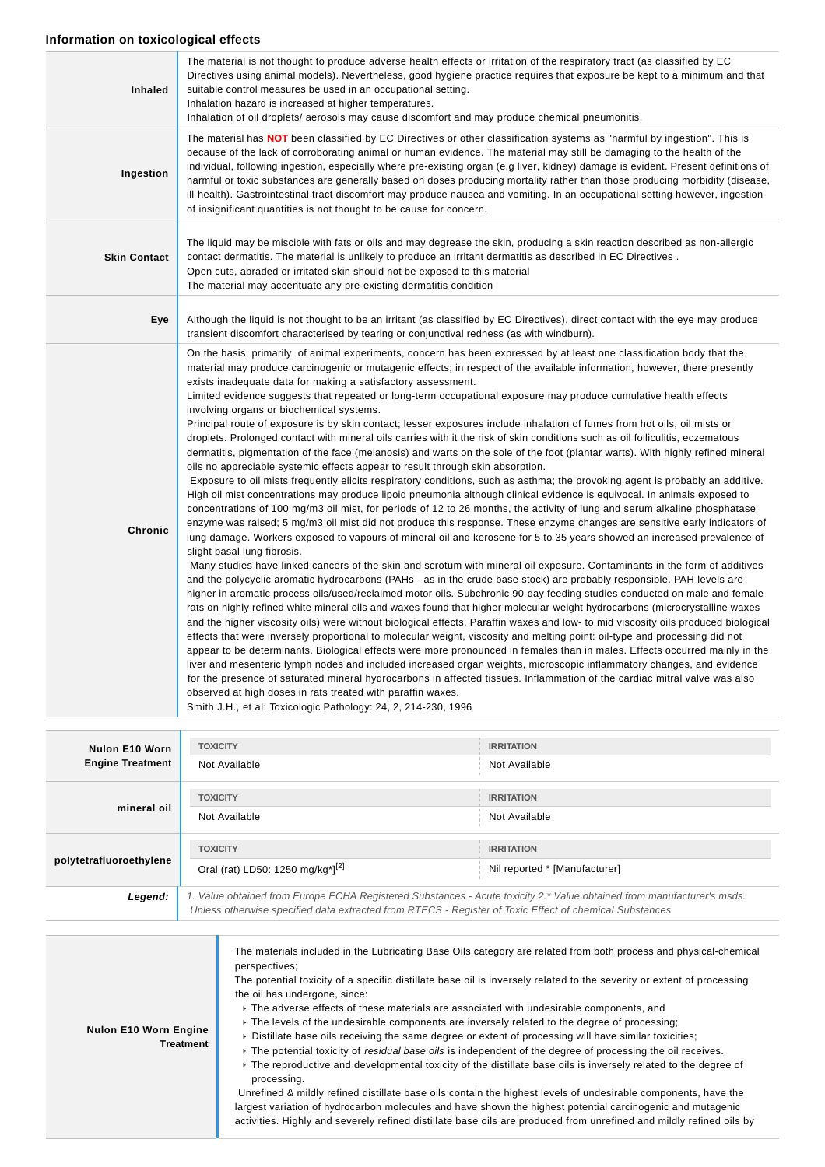# **Information on toxicological effects**

| Inhaled             | The material is not thought to produce adverse health effects or irritation of the respiratory tract (as classified by EC<br>Directives using animal models). Nevertheless, good hygiene practice requires that exposure be kept to a minimum and that<br>suitable control measures be used in an occupational setting.<br>Inhalation hazard is increased at higher temperatures.<br>Inhalation of oil droplets/ aerosols may cause discomfort and may produce chemical pneumonitis.                                                                                                                                                                                                                                                                                                                                                                                                                                                                                                                                                                                                                                                                                                                                                                                                                                                                                                                                                                                                                                                                                                                                                                                                                                                                                                                                                                                                                                                                                                                                                                                                                                                                                                                                                                                                                                                                                                                                                                                                                                                                                                                                                                                                                                                                                                                                                                                                                                                                                |
|---------------------|---------------------------------------------------------------------------------------------------------------------------------------------------------------------------------------------------------------------------------------------------------------------------------------------------------------------------------------------------------------------------------------------------------------------------------------------------------------------------------------------------------------------------------------------------------------------------------------------------------------------------------------------------------------------------------------------------------------------------------------------------------------------------------------------------------------------------------------------------------------------------------------------------------------------------------------------------------------------------------------------------------------------------------------------------------------------------------------------------------------------------------------------------------------------------------------------------------------------------------------------------------------------------------------------------------------------------------------------------------------------------------------------------------------------------------------------------------------------------------------------------------------------------------------------------------------------------------------------------------------------------------------------------------------------------------------------------------------------------------------------------------------------------------------------------------------------------------------------------------------------------------------------------------------------------------------------------------------------------------------------------------------------------------------------------------------------------------------------------------------------------------------------------------------------------------------------------------------------------------------------------------------------------------------------------------------------------------------------------------------------------------------------------------------------------------------------------------------------------------------------------------------------------------------------------------------------------------------------------------------------------------------------------------------------------------------------------------------------------------------------------------------------------------------------------------------------------------------------------------------------------------------------------------------------------------------------------------------------|
| Ingestion           | The material has NOT been classified by EC Directives or other classification systems as "harmful by ingestion". This is<br>because of the lack of corroborating animal or human evidence. The material may still be damaging to the health of the<br>individual, following ingestion, especially where pre-existing organ (e.g liver, kidney) damage is evident. Present definitions of<br>harmful or toxic substances are generally based on doses producing mortality rather than those producing morbidity (disease,<br>ill-health). Gastrointestinal tract discomfort may produce nausea and vomiting. In an occupational setting however, ingestion<br>of insignificant quantities is not thought to be cause for concern.                                                                                                                                                                                                                                                                                                                                                                                                                                                                                                                                                                                                                                                                                                                                                                                                                                                                                                                                                                                                                                                                                                                                                                                                                                                                                                                                                                                                                                                                                                                                                                                                                                                                                                                                                                                                                                                                                                                                                                                                                                                                                                                                                                                                                                    |
| <b>Skin Contact</b> | The liquid may be miscible with fats or oils and may degrease the skin, producing a skin reaction described as non-allergic<br>contact dermatitis. The material is unlikely to produce an irritant dermatitis as described in EC Directives.<br>Open cuts, abraded or irritated skin should not be exposed to this material<br>The material may accentuate any pre-existing dermatitis condition                                                                                                                                                                                                                                                                                                                                                                                                                                                                                                                                                                                                                                                                                                                                                                                                                                                                                                                                                                                                                                                                                                                                                                                                                                                                                                                                                                                                                                                                                                                                                                                                                                                                                                                                                                                                                                                                                                                                                                                                                                                                                                                                                                                                                                                                                                                                                                                                                                                                                                                                                                    |
| Eye                 | Although the liquid is not thought to be an irritant (as classified by EC Directives), direct contact with the eye may produce<br>transient discomfort characterised by tearing or conjunctival redness (as with windburn).                                                                                                                                                                                                                                                                                                                                                                                                                                                                                                                                                                                                                                                                                                                                                                                                                                                                                                                                                                                                                                                                                                                                                                                                                                                                                                                                                                                                                                                                                                                                                                                                                                                                                                                                                                                                                                                                                                                                                                                                                                                                                                                                                                                                                                                                                                                                                                                                                                                                                                                                                                                                                                                                                                                                         |
| <b>Chronic</b>      | On the basis, primarily, of animal experiments, concern has been expressed by at least one classification body that the<br>material may produce carcinogenic or mutagenic effects; in respect of the available information, however, there presently<br>exists inadequate data for making a satisfactory assessment.<br>Limited evidence suggests that repeated or long-term occupational exposure may produce cumulative health effects<br>involving organs or biochemical systems.<br>Principal route of exposure is by skin contact; lesser exposures include inhalation of fumes from hot oils, oil mists or<br>droplets. Prolonged contact with mineral oils carries with it the risk of skin conditions such as oil folliculitis, eczematous<br>dermatitis, pigmentation of the face (melanosis) and warts on the sole of the foot (plantar warts). With highly refined mineral<br>oils no appreciable systemic effects appear to result through skin absorption.<br>Exposure to oil mists frequently elicits respiratory conditions, such as asthma; the provoking agent is probably an additive.<br>High oil mist concentrations may produce lipoid pneumonia although clinical evidence is equivocal. In animals exposed to<br>concentrations of 100 mg/m3 oil mist, for periods of 12 to 26 months, the activity of lung and serum alkaline phosphatase<br>enzyme was raised; 5 mg/m3 oil mist did not produce this response. These enzyme changes are sensitive early indicators of<br>lung damage. Workers exposed to vapours of mineral oil and kerosene for 5 to 35 years showed an increased prevalence of<br>slight basal lung fibrosis.<br>Many studies have linked cancers of the skin and scrotum with mineral oil exposure. Contaminants in the form of additives<br>and the polycyclic aromatic hydrocarbons (PAHs - as in the crude base stock) are probably responsible. PAH levels are<br>higher in aromatic process oils/used/reclaimed motor oils. Subchronic 90-day feeding studies conducted on male and female<br>rats on highly refined white mineral oils and waxes found that higher molecular-weight hydrocarbons (microcrystalline waxes<br>and the higher viscosity oils) were without biological effects. Paraffin waxes and low- to mid viscosity oils produced biological<br>effects that were inversely proportional to molecular weight, viscosity and melting point: oil-type and processing did not<br>appear to be determinants. Biological effects were more pronounced in females than in males. Effects occurred mainly in the<br>liver and mesenteric lymph nodes and included increased organ weights, microscopic inflammatory changes, and evidence<br>for the presence of saturated mineral hydrocarbons in affected tissues. Inflammation of the cardiac mitral valve was also<br>observed at high doses in rats treated with paraffin waxes.<br>Smith J.H., et al: Toxicologic Pathology: 24, 2, 214-230, 1996 |

| Nulon E10 Worn<br><b>Engine Treatment</b> | <b>TOXICITY</b>                                                                                                        | <b>IRRITATION</b>             |  |
|-------------------------------------------|------------------------------------------------------------------------------------------------------------------------|-------------------------------|--|
|                                           | Not Available                                                                                                          | Not Available                 |  |
| mineral oil                               | <b>TOXICITY</b>                                                                                                        | <b>IRRITATION</b>             |  |
|                                           | Not Available                                                                                                          | Not Available                 |  |
| polytetrafluoroethylene                   | <b>TOXICITY</b>                                                                                                        | <b>IRRITATION</b>             |  |
|                                           | Oral (rat) LD50: 1250 mg/kg <sup>*</sup> [ <sup>[2]</sup>                                                              | Nil reported * [Manufacturer] |  |
| Legend:                                   | 1. Value obtained from Europe ECHA Registered Substances - Acute toxicity 2.* Value obtained from manufacturer's msds. |                               |  |

| Unless otherwise specified data extracted from RTECS - Register of Toxic Effect of chemical Substances |
|--------------------------------------------------------------------------------------------------------|
|                                                                                                        |
|                                                                                                        |

| Nulon E10 Worn Engine<br>Treatment | The materials included in the Lubricating Base Oils category are related from both process and physical-chemical<br>perspectives:<br>The potential toxicity of a specific distillate base oil is inversely related to the severity or extent of processing<br>the oil has undergone, since:<br>The adverse effects of these materials are associated with undesirable components, and<br>▶ The levels of the undesirable components are inversely related to the degree of processing;<br>► Distillate base oils receiving the same degree or extent of processing will have similar toxicities;<br>► The potential toxicity of <i>residual base oils</i> is independent of the degree of processing the oil receives.<br>• The reproductive and developmental toxicity of the distillate base oils is inversely related to the degree of<br>processing.<br>Unrefined & mildly refined distillate base oils contain the highest levels of undesirable components, have the<br>largest variation of hydrocarbon molecules and have shown the highest potential carcinogenic and mutagenic<br>activities. Highly and severely refined distillate base oils are produced from unrefined and mildly refined oils by |
|------------------------------------|-----------------------------------------------------------------------------------------------------------------------------------------------------------------------------------------------------------------------------------------------------------------------------------------------------------------------------------------------------------------------------------------------------------------------------------------------------------------------------------------------------------------------------------------------------------------------------------------------------------------------------------------------------------------------------------------------------------------------------------------------------------------------------------------------------------------------------------------------------------------------------------------------------------------------------------------------------------------------------------------------------------------------------------------------------------------------------------------------------------------------------------------------------------------------------------------------------------------|
|------------------------------------|-----------------------------------------------------------------------------------------------------------------------------------------------------------------------------------------------------------------------------------------------------------------------------------------------------------------------------------------------------------------------------------------------------------------------------------------------------------------------------------------------------------------------------------------------------------------------------------------------------------------------------------------------------------------------------------------------------------------------------------------------------------------------------------------------------------------------------------------------------------------------------------------------------------------------------------------------------------------------------------------------------------------------------------------------------------------------------------------------------------------------------------------------------------------------------------------------------------------|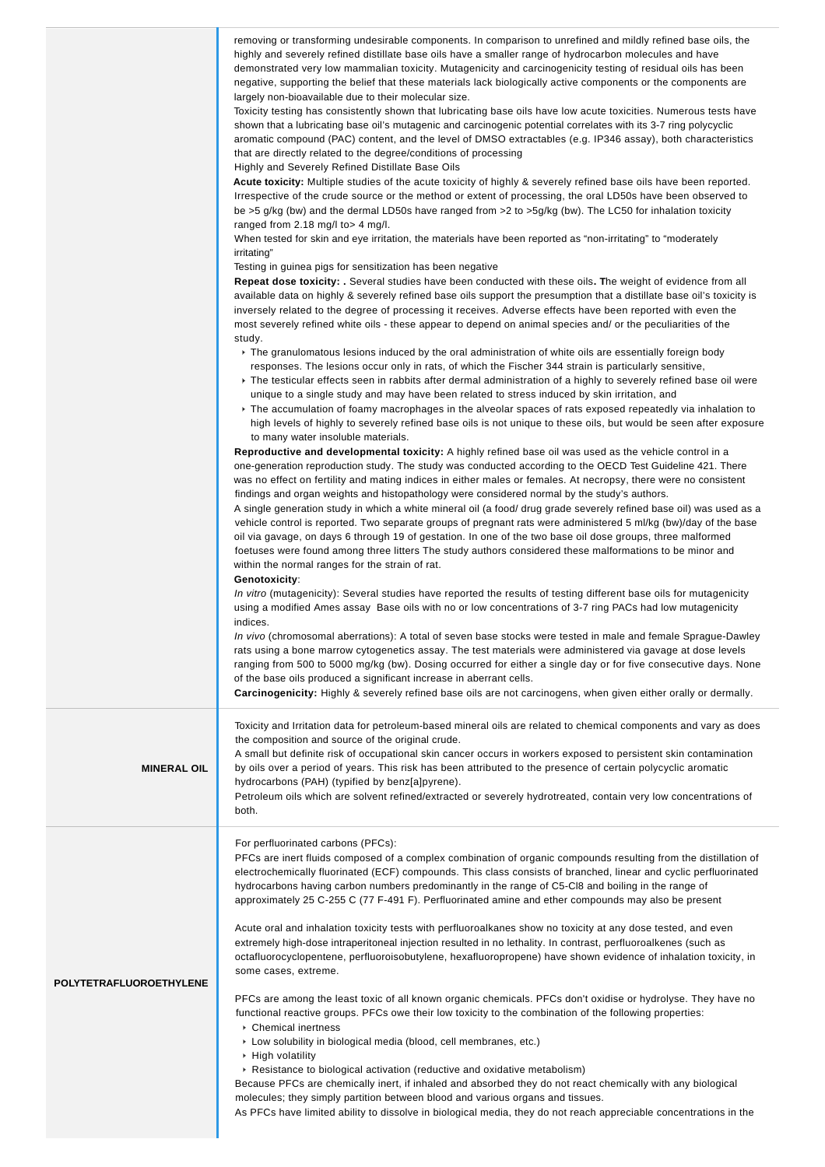|                         | removing or transforming undesirable components. In comparison to unrefined and mildly refined base oils, the<br>highly and severely refined distillate base oils have a smaller range of hydrocarbon molecules and have<br>demonstrated very low mammalian toxicity. Mutagenicity and carcinogenicity testing of residual oils has been<br>negative, supporting the belief that these materials lack biologically active components or the components are<br>largely non-bioavailable due to their molecular size.<br>Toxicity testing has consistently shown that lubricating base oils have low acute toxicities. Numerous tests have<br>shown that a lubricating base oil's mutagenic and carcinogenic potential correlates with its 3-7 ring polycyclic<br>aromatic compound (PAC) content, and the level of DMSO extractables (e.g. IP346 assay), both characteristics<br>that are directly related to the degree/conditions of processing<br>Highly and Severely Refined Distillate Base Oils<br>Acute toxicity: Multiple studies of the acute toxicity of highly & severely refined base oils have been reported.<br>Irrespective of the crude source or the method or extent of processing, the oral LD50s have been observed to<br>be >5 g/kg (bw) and the dermal LD50s have ranged from >2 to >5g/kg (bw). The LC50 for inhalation toxicity<br>ranged from 2.18 mg/l to > 4 mg/l.<br>When tested for skin and eye irritation, the materials have been reported as "non-irritating" to "moderately<br>irritating"<br>Testing in guinea pigs for sensitization has been negative<br>Repeat dose toxicity: . Several studies have been conducted with these oils. The weight of evidence from all<br>available data on highly & severely refined base oils support the presumption that a distillate base oil's toxicity is<br>inversely related to the degree of processing it receives. Adverse effects have been reported with even the<br>most severely refined white oils - these appear to depend on animal species and/ or the peculiarities of the<br>study.<br>The granulomatous lesions induced by the oral administration of white oils are essentially foreign body<br>responses. The lesions occur only in rats, of which the Fischer 344 strain is particularly sensitive,<br>Figure The testicular effects seen in rabbits after dermal administration of a highly to severely refined base oil were<br>unique to a single study and may have been related to stress induced by skin irritation, and<br>Fifthe accumulation of foamy macrophages in the alveolar spaces of rats exposed repeatedly via inhalation to<br>high levels of highly to severely refined base oils is not unique to these oils, but would be seen after exposure<br>to many water insoluble materials.<br>Reproductive and developmental toxicity: A highly refined base oil was used as the vehicle control in a<br>one-generation reproduction study. The study was conducted according to the OECD Test Guideline 421. There<br>was no effect on fertility and mating indices in either males or females. At necropsy, there were no consistent<br>findings and organ weights and histopathology were considered normal by the study's authors.<br>A single generation study in which a white mineral oil (a food/drug grade severely refined base oil) was used as a<br>vehicle control is reported. Two separate groups of pregnant rats were administered 5 ml/kg (bw)/day of the base<br>oil via gavage, on days 6 through 19 of gestation. In one of the two base oil dose groups, three malformed<br>foetuses were found among three litters The study authors considered these malformations to be minor and<br>within the normal ranges for the strain of rat.<br>Genotoxicity:<br>In vitro (mutagenicity): Several studies have reported the results of testing different base oils for mutagenicity<br>using a modified Ames assay Base oils with no or low concentrations of 3-7 ring PACs had low mutagenicity<br>indices.<br>In vivo (chromosomal aberrations): A total of seven base stocks were tested in male and female Sprague-Dawley<br>rats using a bone marrow cytogenetics assay. The test materials were administered via gavage at dose levels<br>ranging from 500 to 5000 mg/kg (bw). Dosing occurred for either a single day or for five consecutive days. None<br>of the base oils produced a significant increase in aberrant cells. |
|-------------------------|---------------------------------------------------------------------------------------------------------------------------------------------------------------------------------------------------------------------------------------------------------------------------------------------------------------------------------------------------------------------------------------------------------------------------------------------------------------------------------------------------------------------------------------------------------------------------------------------------------------------------------------------------------------------------------------------------------------------------------------------------------------------------------------------------------------------------------------------------------------------------------------------------------------------------------------------------------------------------------------------------------------------------------------------------------------------------------------------------------------------------------------------------------------------------------------------------------------------------------------------------------------------------------------------------------------------------------------------------------------------------------------------------------------------------------------------------------------------------------------------------------------------------------------------------------------------------------------------------------------------------------------------------------------------------------------------------------------------------------------------------------------------------------------------------------------------------------------------------------------------------------------------------------------------------------------------------------------------------------------------------------------------------------------------------------------------------------------------------------------------------------------------------------------------------------------------------------------------------------------------------------------------------------------------------------------------------------------------------------------------------------------------------------------------------------------------------------------------------------------------------------------------------------------------------------------------------------------------------------------------------------------------------------------------------------------------------------------------------------------------------------------------------------------------------------------------------------------------------------------------------------------------------------------------------------------------------------------------------------------------------------------------------------------------------------------------------------------------------------------------------------------------------------------------------------------------------------------------------------------------------------------------------------------------------------------------------------------------------------------------------------------------------------------------------------------------------------------------------------------------------------------------------------------------------------------------------------------------------------------------------------------------------------------------------------------------------------------------------------------------------------------------------------------------------------------------------------------------------------------------------------------------------------------------------------------------------------------------------------------------------------------------------------------------------------------------------------------------------------------------------------------------------------------------------------------------------------------------------------------------------------------------------------------------------------------------------------------------------------------------------------------------------------------------------------------------------------------------|
| <b>MINERAL OIL</b>      | Toxicity and Irritation data for petroleum-based mineral oils are related to chemical components and vary as does<br>the composition and source of the original crude.<br>A small but definite risk of occupational skin cancer occurs in workers exposed to persistent skin contamination<br>by oils over a period of years. This risk has been attributed to the presence of certain polycyclic aromatic<br>hydrocarbons (PAH) (typified by benz[a]pyrene).<br>Petroleum oils which are solvent refined/extracted or severely hydrotreated, contain very low concentrations of<br>both.                                                                                                                                                                                                                                                                                                                                                                                                                                                                                                                                                                                                                                                                                                                                                                                                                                                                                                                                                                                                                                                                                                                                                                                                                                                                                                                                                                                                                                                                                                                                                                                                                                                                                                                                                                                                                                                                                                                                                                                                                                                                                                                                                                                                                                                                                                                                                                                                                                                                                                                                                                                                                                                                                                                                                                                                                                                                                                                                                                                                                                                                                                                                                                                                                                                                                                                                                                                                                                                                                                                                                                                                                                                                                                                                                                                                                                                                           |
| POLYTETRAFLUOROETHYLENE | For perfluorinated carbons (PFCs):<br>PFCs are inert fluids composed of a complex combination of organic compounds resulting from the distillation of<br>electrochemically fluorinated (ECF) compounds. This class consists of branched, linear and cyclic perfluorinated<br>hydrocarbons having carbon numbers predominantly in the range of C5-CI8 and boiling in the range of<br>approximately 25 C-255 C (77 F-491 F). Perfluorinated amine and ether compounds may also be present<br>Acute oral and inhalation toxicity tests with perfluoroalkanes show no toxicity at any dose tested, and even<br>extremely high-dose intraperitoneal injection resulted in no lethality. In contrast, perfluoroalkenes (such as<br>octafluorocyclopentene, perfluoroisobutylene, hexafluoropropene) have shown evidence of inhalation toxicity, in<br>some cases, extreme.<br>PFCs are among the least toxic of all known organic chemicals. PFCs don't oxidise or hydrolyse. They have no<br>functional reactive groups. PFCs owe their low toxicity to the combination of the following properties:<br>• Chemical inertness<br>Low solubility in biological media (blood, cell membranes, etc.)<br>$\triangleright$ High volatility<br>▶ Resistance to biological activation (reductive and oxidative metabolism)<br>Because PFCs are chemically inert, if inhaled and absorbed they do not react chemically with any biological<br>molecules; they simply partition between blood and various organs and tissues.<br>As PFCs have limited ability to dissolve in biological media, they do not reach appreciable concentrations in the                                                                                                                                                                                                                                                                                                                                                                                                                                                                                                                                                                                                                                                                                                                                                                                                                                                                                                                                                                                                                                                                                                                                                                                                                                                                                                                                                                                                                                                                                                                                                                                                                                                                                                                                                                                                                                                                                                                                                                                                                                                                                                                                                                                                                                                                                                                                                                                                                                                                                                                                                                                                                                                                                                                                                                                                                                 |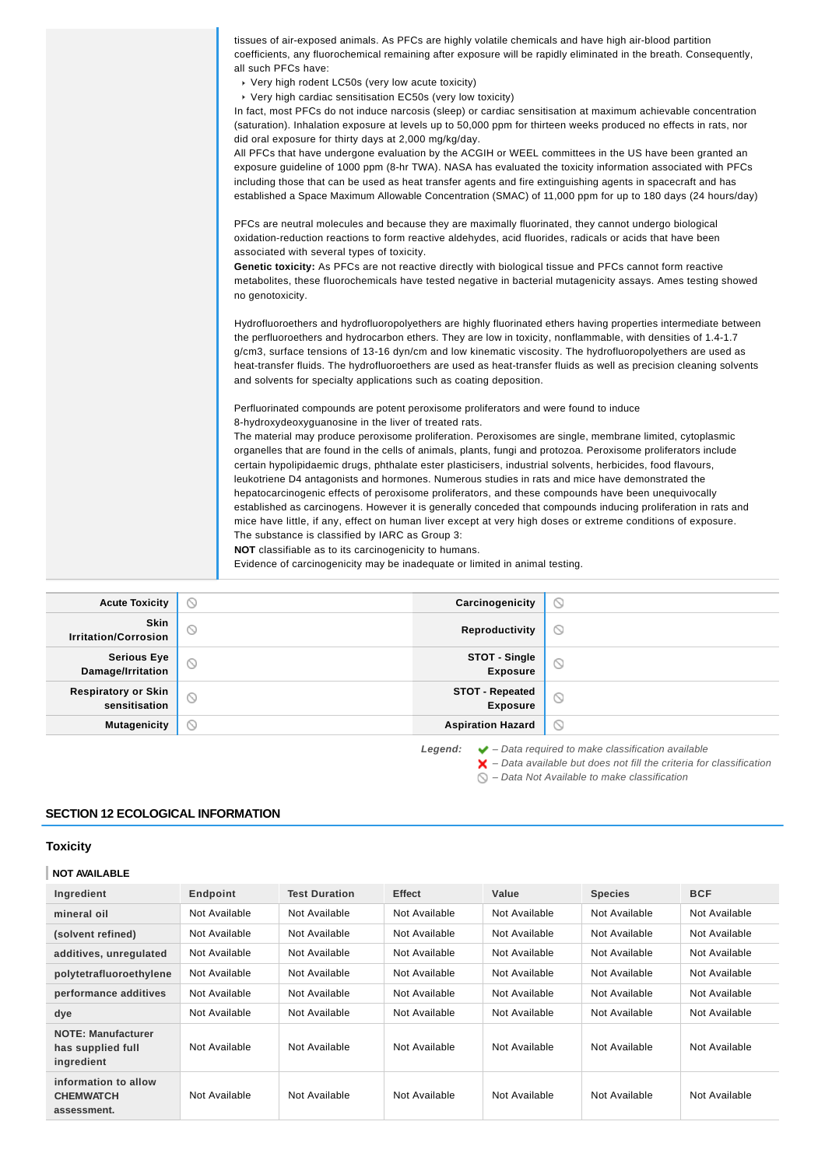| Acute Toxicity | ര<br>$\varnothing$<br>Carcinogenicity                                                                                                                                                                                       |
|----------------|-----------------------------------------------------------------------------------------------------------------------------------------------------------------------------------------------------------------------------|
|                | Evidence of carcinogenicity may be inadequate or limited in animal testing.                                                                                                                                                 |
|                | NOT classifiable as to its carcinogenicity to humans.                                                                                                                                                                       |
|                | The substance is classified by IARC as Group 3:                                                                                                                                                                             |
|                | mice have little, if any, effect on human liver except at very high doses or extreme conditions of exposure.                                                                                                                |
|                | hepatocarcinogenic effects of peroxisome proliferators, and these compounds have been unequivocally<br>established as carcinogens. However it is generally conceded that compounds inducing proliferation in rats and       |
|                | leukotriene D4 antagonists and hormones. Numerous studies in rats and mice have demonstrated the                                                                                                                            |
|                | certain hypolipidaemic drugs, phthalate ester plasticisers, industrial solvents, herbicides, food flavours,                                                                                                                 |
|                | The material may produce peroxisome proliferation. Peroxisomes are single, membrane limited, cytoplasmic<br>organelles that are found in the cells of animals, plants, fungi and protozoa. Peroxisome proliferators include |
|                | 8-hydroxydeoxyguanosine in the liver of treated rats.                                                                                                                                                                       |
|                | Perfluorinated compounds are potent peroxisome proliferators and were found to induce                                                                                                                                       |
|                | and solvents for specialty applications such as coating deposition.                                                                                                                                                         |
|                | heat-transfer fluids. The hydrofluoroethers are used as heat-transfer fluids as well as precision cleaning solvents                                                                                                         |
|                | the perfluoroethers and hydrocarbon ethers. They are low in toxicity, nonflammable, with densities of 1.4-1.7<br>g/cm3, surface tensions of 13-16 dyn/cm and low kinematic viscosity. The hydrofluoropolyethers are used as |
|                | Hydrofluoroethers and hydrofluoropolyethers are highly fluorinated ethers having properties intermediate between                                                                                                            |
|                | no genotoxicity.                                                                                                                                                                                                            |
|                | metabolites, these fluorochemicals have tested negative in bacterial mutagenicity assays. Ames testing showed                                                                                                               |
|                | Genetic toxicity: As PFCs are not reactive directly with biological tissue and PFCs cannot form reactive                                                                                                                    |
|                | oxidation-reduction reactions to form reactive aldehydes, acid fluorides, radicals or acids that have been<br>associated with several types of toxicity.                                                                    |
|                | PFCs are neutral molecules and because they are maximally fluorinated, they cannot undergo biological                                                                                                                       |
|                | established a Space Maximum Allowable Concentration (SMAC) of 11,000 ppm for up to 180 days (24 hours/day)                                                                                                                  |
|                | including those that can be used as heat transfer agents and fire extinguishing agents in spacecraft and has                                                                                                                |
|                | exposure guideline of 1000 ppm (8-hr TWA). NASA has evaluated the toxicity information associated with PFCs                                                                                                                 |
|                | did oral exposure for thirty days at 2,000 mg/kg/day.<br>All PFCs that have undergone evaluation by the ACGIH or WEEL committees in the US have been granted an                                                             |
|                | (saturation). Inhalation exposure at levels up to 50,000 ppm for thirteen weeks produced no effects in rats, nor                                                                                                            |
|                | In fact, most PFCs do not induce narcosis (sleep) or cardiac sensitisation at maximum achievable concentration                                                                                                              |
|                | ▶ Very high cardiac sensitisation EC50s (very low toxicity)                                                                                                                                                                 |
|                | all such PFCs have:<br>▶ Very high rodent LC50s (very low acute toxicity)                                                                                                                                                   |
|                | coefficients, any fluorochemical remaining after exposure will be rapidly eliminated in the breath. Consequently,                                                                                                           |
|                | tissues of air-exposed animals. As PFCs are highly volatile chemicals and have high air-blood partition                                                                                                                     |
|                |                                                                                                                                                                                                                             |

| Skin                                                                                                    |  |
|---------------------------------------------------------------------------------------------------------|--|
| $\circlearrowright$<br>$\odot$<br>Reproductivity<br><b>Irritation/Corrosion</b>                         |  |
| Serious Eye<br>Damage/Irritation<br><b>STOT - Single<br/>Exposure</b><br>$\circlearrowright$<br>$\circ$ |  |
| STOT - Repeated<br><b>Respiratory or Skin</b><br>$\circ$<br>$\circ$<br>sensitisation<br><b>Exposure</b> |  |
| $\circ$<br><b>Mutagenicity</b><br><b>Aspiration Hazard</b><br>$\circ$                                   |  |

**Legend:** – Data required to make classification available – Data available but does not fill the criteria for classification

– Data Not Available to make classification

# **SECTION 12 ECOLOGICAL INFORMATION**

# **Toxicity**

# **NOT AVAILABLE**

| Ingredient                                                   | Endpoint      | <b>Test Duration</b> | <b>Effect</b> | Value         | <b>Species</b> | <b>BCF</b>    |
|--------------------------------------------------------------|---------------|----------------------|---------------|---------------|----------------|---------------|
| mineral oil                                                  | Not Available | Not Available        | Not Available | Not Available | Not Available  | Not Available |
| (solvent refined)                                            | Not Available | Not Available        | Not Available | Not Available | Not Available  | Not Available |
| additives, unregulated                                       | Not Available | Not Available        | Not Available | Not Available | Not Available  | Not Available |
| polytetrafluoroethylene                                      | Not Available | Not Available        | Not Available | Not Available | Not Available  | Not Available |
| performance additives                                        | Not Available | Not Available        | Not Available | Not Available | Not Available  | Not Available |
| dye                                                          | Not Available | Not Available        | Not Available | Not Available | Not Available  | Not Available |
| <b>NOTE: Manufacturer</b><br>has supplied full<br>ingredient | Not Available | Not Available        | Not Available | Not Available | Not Available  | Not Available |
| information to allow<br><b>CHEMWATCH</b><br>assessment.      | Not Available | Not Available        | Not Available | Not Available | Not Available  | Not Available |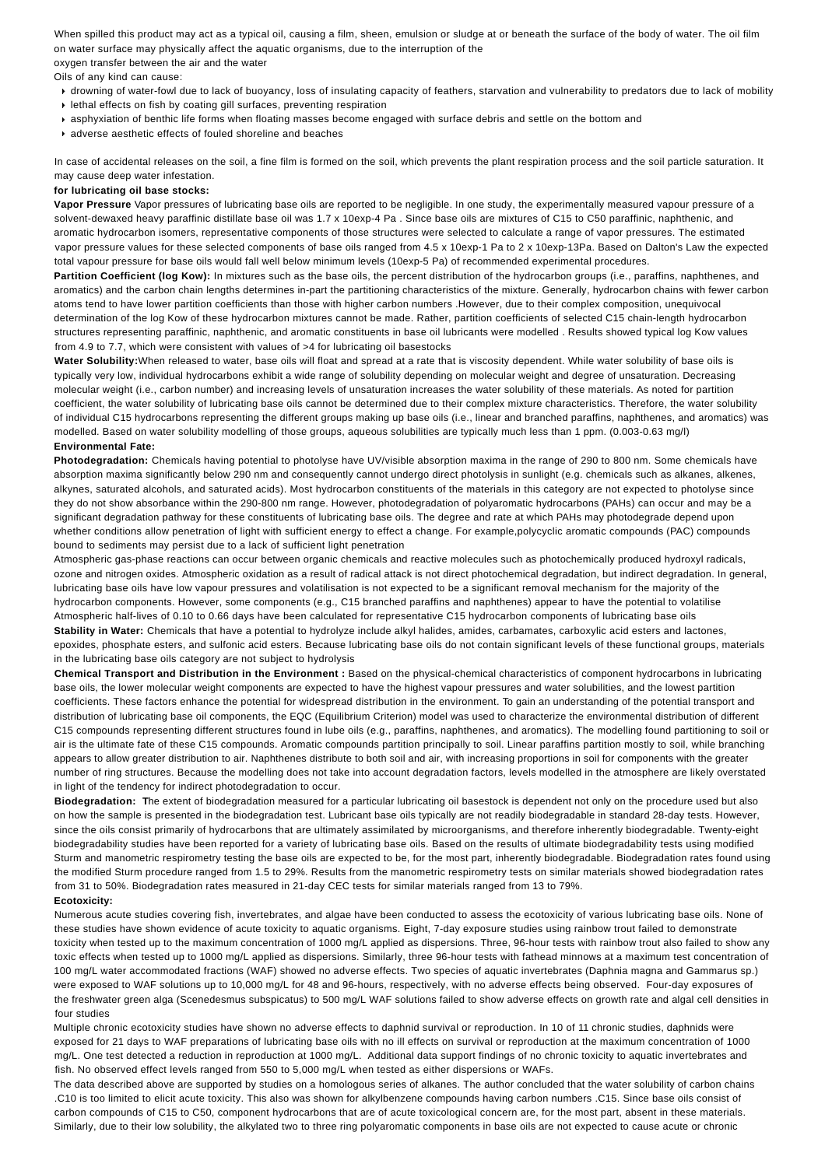When spilled this product may act as a typical oil, causing a film, sheen, emulsion or sludge at or beneath the surface of the body of water. The oil film on water surface may physically affect the aquatic organisms, due to the interruption of the oxygen transfer between the air and the water

Oils of any kind can cause:

- drowning of water-fowl due to lack of buoyancy, loss of insulating capacity of feathers, starvation and vulnerability to predators due to lack of mobility
- $\cdot$  lethal effects on fish by coating gill surfaces, preventing respiration
- asphyxiation of benthic life forms when floating masses become engaged with surface debris and settle on the bottom and
- adverse aesthetic effects of fouled shoreline and beaches

In case of accidental releases on the soil, a fine film is formed on the soil, which prevents the plant respiration process and the soil particle saturation. It may cause deep water infestation.

#### **for lubricating oil base stocks:**

**Vapor Pressure** Vapor pressures of lubricating base oils are reported to be negligible. In one study, the experimentally measured vapour pressure of a solvent-dewaxed heavy paraffinic distillate base oil was 1.7 x 10exp-4 Pa . Since base oils are mixtures of C15 to C50 paraffinic, naphthenic, and aromatic hydrocarbon isomers, representative components of those structures were selected to calculate a range of vapor pressures. The estimated vapor pressure values for these selected components of base oils ranged from 4.5 x 10exp-1 Pa to 2 x 10exp-13Pa. Based on Dalton's Law the expected total vapour pressure for base oils would fall well below minimum levels (10exp-5 Pa) of recommended experimental procedures.

Partition Coefficient (log Kow): In mixtures such as the base oils, the percent distribution of the hydrocarbon groups (i.e., paraffins, naphthenes, and aromatics) and the carbon chain lengths determines in-part the partitioning characteristics of the mixture. Generally, hydrocarbon chains with fewer carbon atoms tend to have lower partition coefficients than those with higher carbon numbers .However, due to their complex composition, unequivocal determination of the log Kow of these hydrocarbon mixtures cannot be made. Rather, partition coefficients of selected C15 chain-length hydrocarbon structures representing paraffinic, naphthenic, and aromatic constituents in base oil lubricants were modelled . Results showed typical log Kow values from 4.9 to 7.7, which were consistent with values of >4 for lubricating oil basestocks

Water Solubility: When released to water, base oils will float and spread at a rate that is viscosity dependent. While water solubility of base oils is typically very low, individual hydrocarbons exhibit a wide range of solubility depending on molecular weight and degree of unsaturation. Decreasing molecular weight (i.e., carbon number) and increasing levels of unsaturation increases the water solubility of these materials. As noted for partition coefficient, the water solubility of lubricating base oils cannot be determined due to their complex mixture characteristics. Therefore, the water solubility of individual C15 hydrocarbons representing the different groups making up base oils (i.e., linear and branched paraffins, naphthenes, and aromatics) was modelled. Based on water solubility modelling of those groups, aqueous solubilities are typically much less than 1 ppm. (0.003-0.63 mg/l) **Environmental Fate:**

**Photodegradation:** Chemicals having potential to photolyse have UV/visible absorption maxima in the range of 290 to 800 nm. Some chemicals have absorption maxima significantly below 290 nm and consequently cannot undergo direct photolysis in sunlight (e.g. chemicals such as alkanes, alkenes, alkynes, saturated alcohols, and saturated acids). Most hydrocarbon constituents of the materials in this category are not expected to photolyse since they do not show absorbance within the 290-800 nm range. However, photodegradation of polyaromatic hydrocarbons (PAHs) can occur and may be a significant degradation pathway for these constituents of lubricating base oils. The degree and rate at which PAHs may photodegrade depend upon whether conditions allow penetration of light with sufficient energy to effect a change. For example,polycyclic aromatic compounds (PAC) compounds bound to sediments may persist due to a lack of sufficient light penetration

Atmospheric gas-phase reactions can occur between organic chemicals and reactive molecules such as photochemically produced hydroxyl radicals, ozone and nitrogen oxides. Atmospheric oxidation as a result of radical attack is not direct photochemical degradation, but indirect degradation. In general, lubricating base oils have low vapour pressures and volatilisation is not expected to be a significant removal mechanism for the majority of the hydrocarbon components. However, some components (e.g., C15 branched paraffins and naphthenes) appear to have the potential to volatilise Atmospheric half-lives of 0.10 to 0.66 days have been calculated for representative C15 hydrocarbon components of lubricating base oils **Stability in Water:** Chemicals that have a potential to hydrolyze include alkyl halides, amides, carbamates, carboxylic acid esters and lactones, epoxides, phosphate esters, and sulfonic acid esters. Because lubricating base oils do not contain significant levels of these functional groups, materials in the lubricating base oils category are not subject to hydrolysis

**Chemical Transport and Distribution in the Environment :** Based on the physical-chemical characteristics of component hydrocarbons in lubricating base oils, the lower molecular weight components are expected to have the highest vapour pressures and water solubilities, and the lowest partition coefficients. These factors enhance the potential for widespread distribution in the environment. To gain an understanding of the potential transport and distribution of lubricating base oil components, the EQC (Equilibrium Criterion) model was used to characterize the environmental distribution of different C15 compounds representing different structures found in lube oils (e.g., paraffins, naphthenes, and aromatics). The modelling found partitioning to soil or air is the ultimate fate of these C15 compounds. Aromatic compounds partition principally to soil. Linear paraffins partition mostly to soil, while branching appears to allow greater distribution to air. Naphthenes distribute to both soil and air, with increasing proportions in soil for components with the greater number of ring structures. Because the modelling does not take into account degradation factors, levels modelled in the atmosphere are likely overstated in light of the tendency for indirect photodegradation to occur.

**Biodegradation: T**he extent of biodegradation measured for a particular lubricating oil basestock is dependent not only on the procedure used but also on how the sample is presented in the biodegradation test. Lubricant base oils typically are not readily biodegradable in standard 28-day tests. However, since the oils consist primarily of hydrocarbons that are ultimately assimilated by microorganisms, and therefore inherently biodegradable. Twenty-eight biodegradability studies have been reported for a variety of lubricating base oils. Based on the results of ultimate biodegradability tests using modified Sturm and manometric respirometry testing the base oils are expected to be, for the most part, inherently biodegradable. Biodegradation rates found using the modified Sturm procedure ranged from 1.5 to 29%. Results from the manometric respirometry tests on similar materials showed biodegradation rates from 31 to 50%. Biodegradation rates measured in 21-day CEC tests for similar materials ranged from 13 to 79%.

#### **Ecotoxicity:**

Numerous acute studies covering fish, invertebrates, and algae have been conducted to assess the ecotoxicity of various lubricating base oils. None of these studies have shown evidence of acute toxicity to aquatic organisms. Eight, 7-day exposure studies using rainbow trout failed to demonstrate toxicity when tested up to the maximum concentration of 1000 mg/L applied as dispersions. Three, 96-hour tests with rainbow trout also failed to show any toxic effects when tested up to 1000 mg/L applied as dispersions. Similarly, three 96-hour tests with fathead minnows at a maximum test concentration of 100 mg/L water accommodated fractions (WAF) showed no adverse effects. Two species of aquatic invertebrates (Daphnia magna and Gammarus sp.) were exposed to WAF solutions up to 10,000 mg/L for 48 and 96-hours, respectively, with no adverse effects being observed. Four-day exposures of the freshwater green alga (Scenedesmus subspicatus) to 500 mg/L WAF solutions failed to show adverse effects on growth rate and algal cell densities in four studies

Multiple chronic ecotoxicity studies have shown no adverse effects to daphnid survival or reproduction. In 10 of 11 chronic studies, daphnids were exposed for 21 days to WAF preparations of lubricating base oils with no ill effects on survival or reproduction at the maximum concentration of 1000 mg/L. One test detected a reduction in reproduction at 1000 mg/L. Additional data support findings of no chronic toxicity to aquatic invertebrates and fish. No observed effect levels ranged from 550 to 5,000 mg/L when tested as either dispersions or WAFs.

The data described above are supported by studies on a homologous series of alkanes. The author concluded that the water solubility of carbon chains .C10 is too limited to elicit acute toxicity. This also was shown for alkylbenzene compounds having carbon numbers .C15. Since base oils consist of carbon compounds of C15 to C50, component hydrocarbons that are of acute toxicological concern are, for the most part, absent in these materials. Similarly, due to their low solubility, the alkylated two to three ring polyaromatic components in base oils are not expected to cause acute or chronic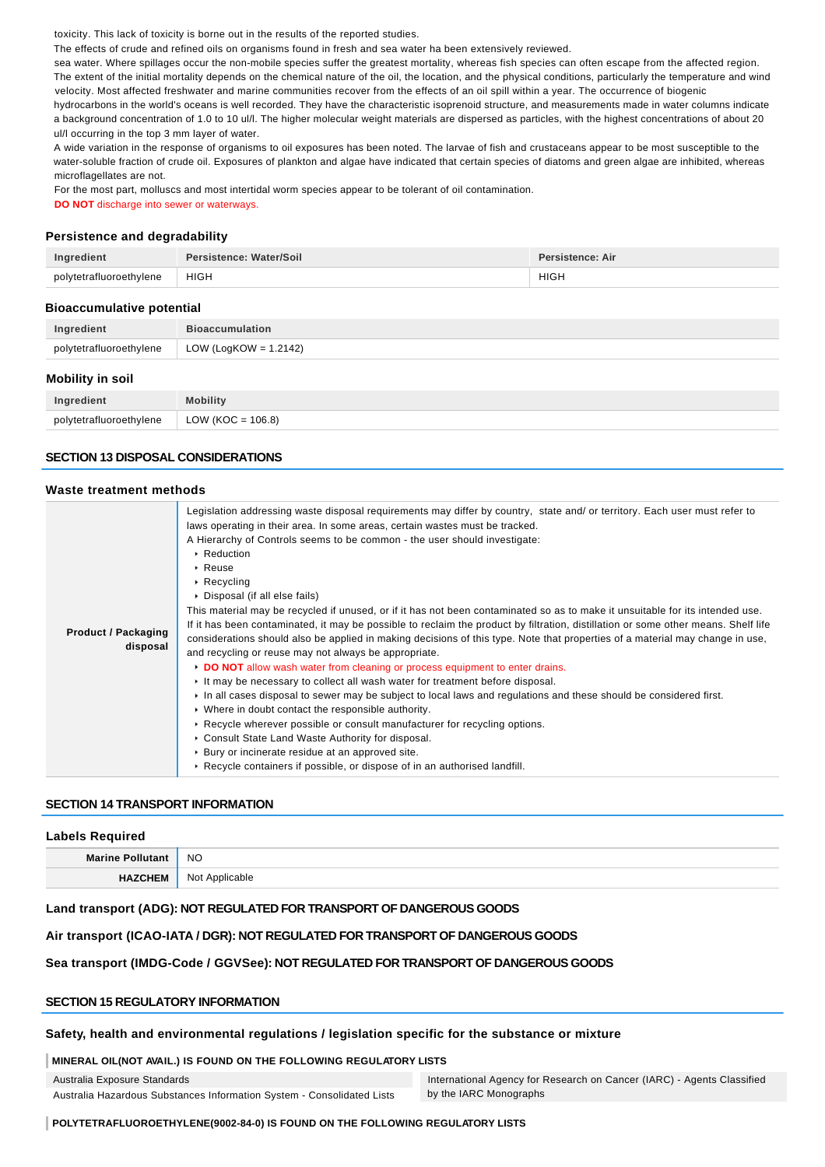toxicity. This lack of toxicity is borne out in the results of the reported studies.

The effects of crude and refined oils on organisms found in fresh and sea water ha been extensively reviewed.

sea water. Where spillages occur the non-mobile species suffer the greatest mortality, whereas fish species can often escape from the affected region. The extent of the initial mortality depends on the chemical nature of the oil, the location, and the physical conditions, particularly the temperature and wind velocity. Most affected freshwater and marine communities recover from the effects of an oil spill within a year. The occurrence of biogenic

hydrocarbons in the world's oceans is well recorded. They have the characteristic isoprenoid structure, and measurements made in water columns indicate a background concentration of 1.0 to 10 ul/l. The higher molecular weight materials are dispersed as particles, with the highest concentrations of about 20 ul/l occurring in the top 3 mm layer of water.

A wide variation in the response of organisms to oil exposures has been noted. The larvae of fish and crustaceans appear to be most susceptible to the water-soluble fraction of crude oil. Exposures of plankton and algae have indicated that certain species of diatoms and green algae are inhibited, whereas microflagellates are not.

For the most part, molluscs and most intertidal worm species appear to be tolerant of oil contamination.

**DO NOT** discharge into sewer or waterways.

## **Persistence and degradability**

| Ingredient              | Persistence: Water/Soil | Persistence: Air |
|-------------------------|-------------------------|------------------|
| polytetrafluoroethylene | <b>HIGH</b>             | <b>HIGH</b>      |

#### **Bioaccumulative potential**

| Ingredient              | <b>Bioaccumulation</b>        |
|-------------------------|-------------------------------|
| polytetrafluoroethylene | $\vert$ LOW (LogKOW = 1.2142) |
|                         |                               |

#### **Mobility in soil**

| Ingredient              |                      |
|-------------------------|----------------------|
| polytetrafluoroethylene | LOW (KOC = $106.8$ ) |

### **SECTION 13 DISPOSAL CONSIDERATIONS**

#### **Waste treatment methods**

| <b>Product / Packaging</b><br>disposal | Legislation addressing waste disposal requirements may differ by country, state and/ or territory. Each user must refer to<br>laws operating in their area. In some areas, certain wastes must be tracked.<br>A Hierarchy of Controls seems to be common - the user should investigate:<br>▶ Reduction<br>$\triangleright$ Reuse<br>$\triangleright$ Recycling<br>▶ Disposal (if all else fails)<br>This material may be recycled if unused, or if it has not been contaminated so as to make it unsuitable for its intended use.<br>If it has been contaminated, it may be possible to reclaim the product by filtration, distillation or some other means. Shelf life<br>considerations should also be applied in making decisions of this type. Note that properties of a material may change in use,<br>and recycling or reuse may not always be appropriate.<br>DO NOT allow wash water from cleaning or process equipment to enter drains.<br>It may be necessary to collect all wash water for treatment before disposal.<br>In all cases disposal to sewer may be subject to local laws and regulations and these should be considered first.<br>▶ Where in doubt contact the responsible authority. |
|----------------------------------------|--------------------------------------------------------------------------------------------------------------------------------------------------------------------------------------------------------------------------------------------------------------------------------------------------------------------------------------------------------------------------------------------------------------------------------------------------------------------------------------------------------------------------------------------------------------------------------------------------------------------------------------------------------------------------------------------------------------------------------------------------------------------------------------------------------------------------------------------------------------------------------------------------------------------------------------------------------------------------------------------------------------------------------------------------------------------------------------------------------------------------------------------------------------------------------------------------------------|
|                                        |                                                                                                                                                                                                                                                                                                                                                                                                                                                                                                                                                                                                                                                                                                                                                                                                                                                                                                                                                                                                                                                                                                                                                                                                              |
|                                        | ► Recycle wherever possible or consult manufacturer for recycling options.<br>• Consult State Land Waste Authority for disposal.                                                                                                                                                                                                                                                                                                                                                                                                                                                                                                                                                                                                                                                                                                                                                                                                                                                                                                                                                                                                                                                                             |
|                                        | ▶ Bury or incinerate residue at an approved site.                                                                                                                                                                                                                                                                                                                                                                                                                                                                                                                                                                                                                                                                                                                                                                                                                                                                                                                                                                                                                                                                                                                                                            |
|                                        | ► Recycle containers if possible, or dispose of in an authorised landfill.                                                                                                                                                                                                                                                                                                                                                                                                                                                                                                                                                                                                                                                                                                                                                                                                                                                                                                                                                                                                                                                                                                                                   |

#### **SECTION 14 TRANSPORT INFORMATION**

| <b>Labels Required</b> |                |
|------------------------|----------------|
| Marine Pollutant       | <b>NO</b>      |
| <b>HAZCHEM</b>         | Not Applicable |

#### **Land transport (ADG): NOT REGULATED FOR TRANSPORT OF DANGEROUS GOODS**

#### **Air transport (ICAO-IATA / DGR): NOT REGULATED FOR TRANSPORT OF DANGEROUS GOODS**

## **Sea transport (IMDG-Code / GGVSee): NOT REGULATED FOR TRANSPORT OF DANGEROUS GOODS**

# **SECTION 15 REGULATORY INFORMATION**

#### **Safety, health and environmental regulations / legislation specific for the substance or mixture**

#### **MINERAL OIL(NOT AVAIL.) IS FOUND ON THE FOLLOWING REGULATORY LISTS**

Australia Exposure Standards Australia Hazardous Substances Information System - Consolidated Lists

International Agency for Research on Cancer (IARC) - Agents Classified by the IARC Monographs

**POLYTETRAFLUOROETHYLENE(9002-84-0) IS FOUND ON THE FOLLOWING REGULATORY LISTS**